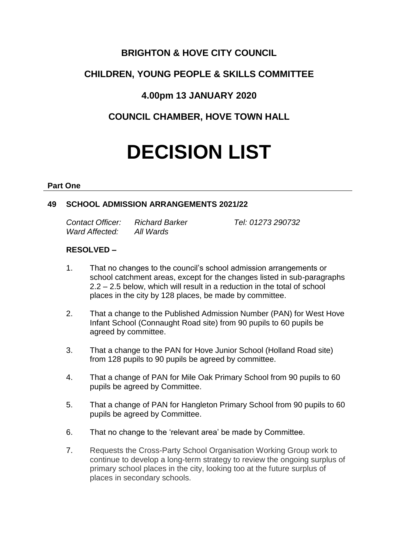# **BRIGHTON & HOVE CITY COUNCIL**

# **CHILDREN, YOUNG PEOPLE & SKILLS COMMITTEE**

# **4.00pm 13 JANUARY 2020**

# **COUNCIL CHAMBER, HOVE TOWN HALL**

# **DECISION LIST**

#### **Part One**

## **49 SCHOOL ADMISSION ARRANGEMENTS 2021/22**

*Contact Officer: Richard Barker Tel: 01273 290732 Ward Affected: All Wards*

# **RESOLVED –**

- 1. That no changes to the council's school admission arrangements or school catchment areas, except for the changes listed in sub-paragraphs 2.2 – 2.5 below, which will result in a reduction in the total of school places in the city by 128 places, be made by committee.
- 2. That a change to the Published Admission Number (PAN) for West Hove Infant School (Connaught Road site) from 90 pupils to 60 pupils be agreed by committee.
- 3. That a change to the PAN for Hove Junior School (Holland Road site) from 128 pupils to 90 pupils be agreed by committee.
- 4. That a change of PAN for Mile Oak Primary School from 90 pupils to 60 pupils be agreed by Committee.
- 5. That a change of PAN for Hangleton Primary School from 90 pupils to 60 pupils be agreed by Committee.
- 6. That no change to the 'relevant area' be made by Committee.
- 7. Requests the Cross-Party School Organisation Working Group work to continue to develop a long-term strategy to review the ongoing surplus of primary school places in the city, looking too at the future surplus of places in secondary schools.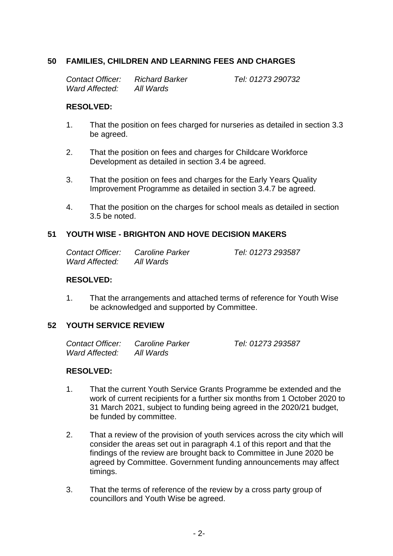## **50 FAMILIES, CHILDREN AND LEARNING FEES AND CHARGES**

*Contact Officer: Richard Barker Tel: 01273 290732 Ward Affected: All Wards*

*Contact Officer: Caroline Parker Tel: 01273 293587*

#### **RESOLVED:**

- 1. That the position on fees charged for nurseries as detailed in section 3.3 be agreed.
- 2. That the position on fees and charges for Childcare Workforce Development as detailed in section 3.4 be agreed.
- 3. That the position on fees and charges for the Early Years Quality Improvement Programme as detailed in section 3.4.7 be agreed.
- 4. That the position on the charges for school meals as detailed in section 3.5 be noted.

#### **51 YOUTH WISE - BRIGHTON AND HOVE DECISION MAKERS**

| Contact Officer: | Caroline Parker |
|------------------|-----------------|
| Ward Affected:   | All Wards       |

#### **RESOLVED:**

1. That the arrangements and attached terms of reference for Youth Wise be acknowledged and supported by Committee.

#### **52 YOUTH SERVICE REVIEW**

| Contact Officer: | Caroline Parker | Tel: 01273 293587 |
|------------------|-----------------|-------------------|
| Ward Affected:   | All Wards       |                   |

#### **RESOLVED:**

- 1. That the current Youth Service Grants Programme be extended and the work of current recipients for a further six months from 1 October 2020 to 31 March 2021, subject to funding being agreed in the 2020/21 budget, be funded by committee.
- 2. That a review of the provision of youth services across the city which will consider the areas set out in paragraph 4.1 of this report and that the findings of the review are brought back to Committee in June 2020 be agreed by Committee. Government funding announcements may affect timings.
- 3. That the terms of reference of the review by a cross party group of councillors and Youth Wise be agreed.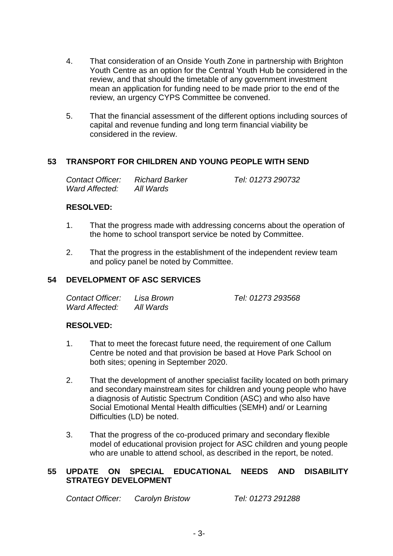- 4. That consideration of an Onside Youth Zone in partnership with Brighton Youth Centre as an option for the Central Youth Hub be considered in the review, and that should the timetable of any government investment mean an application for funding need to be made prior to the end of the review, an urgency CYPS Committee be convened.
- 5. That the financial assessment of the different options including sources of capital and revenue funding and long term financial viability be considered in the review.

## **53 TRANSPORT FOR CHILDREN AND YOUNG PEOPLE WITH SEND**

| Contact Officer: | <b>Richard Barker</b> | Tel: 01273 290732 |
|------------------|-----------------------|-------------------|
| Ward Affected:   | All Wards             |                   |

#### **RESOLVED:**

- 1. That the progress made with addressing concerns about the operation of the home to school transport service be noted by Committee.
- 2. That the progress in the establishment of the independent review team and policy panel be noted by Committee.

## **54 DEVELOPMENT OF ASC SERVICES**

| Contact Officer: | Lisa Brown | Tel: 01273 293568 |
|------------------|------------|-------------------|
| Ward Affected:   | All Wards  |                   |

#### **RESOLVED:**

- 1. That to meet the forecast future need, the requirement of one Callum Centre be noted and that provision be based at Hove Park School on both sites; opening in September 2020.
- 2. That the development of another specialist facility located on both primary and secondary mainstream sites for children and young people who have a diagnosis of Autistic Spectrum Condition (ASC) and who also have Social Emotional Mental Health difficulties (SEMH) and/ or Learning Difficulties (LD) be noted.
- 3. That the progress of the co-produced primary and secondary flexible model of educational provision project for ASC children and young people who are unable to attend school, as described in the report, be noted.

#### **55 UPDATE ON SPECIAL EDUCATIONAL NEEDS AND DISABILITY STRATEGY DEVELOPMENT**

*Contact Officer: Carolyn Bristow Tel: 01273 291288*